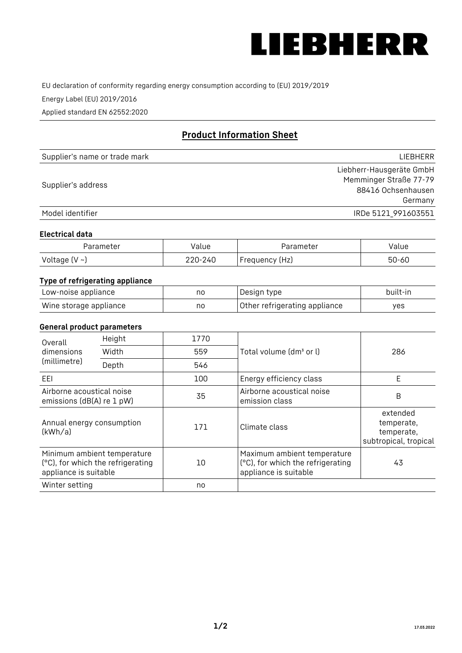

EU declaration of conformity regarding energy consumption according to (EU) 2019/2019

Energy Label (EU) 2019/2016

Applied standard EN 62552:2020

# **Product Information Sheet**

| Supplier's name or trade mark | LIEBHERR                 |
|-------------------------------|--------------------------|
|                               | Liebherr-Hausgeräte GmbH |
|                               | Memminger Straße 77-79   |
| Supplier's address            | 88416 Ochsenhausen       |
|                               | Germany                  |
| Model identifier              | IRDe 5121 991603551      |

#### **Electrical data**

| Parameter          | Value   | Parameter      | alue  |
|--------------------|---------|----------------|-------|
| Voltage $(V \sim)$ | 220-240 | Frequency (Hz) | 50-60 |

# **Type of refrigerating appliance**

| Low-noise appliance    | no | Design type                   | built-in |
|------------------------|----|-------------------------------|----------|
| Wine storage appliance | no | Other refrigerating appliance | ves      |

### **General product parameters**

| Height<br>Overall                                      |                                                                  | 1770 |                                                                                           |                                                               |
|--------------------------------------------------------|------------------------------------------------------------------|------|-------------------------------------------------------------------------------------------|---------------------------------------------------------------|
| dimensions<br>(millimetre)                             | Width                                                            | 559  | Total volume (dm <sup>3</sup> or l)                                                       | 286                                                           |
|                                                        | Depth                                                            | 546  |                                                                                           |                                                               |
| EEL                                                    |                                                                  | 100  | Energy efficiency class                                                                   | E                                                             |
| Airborne acoustical noise<br>emissions (dB(A) re 1 pW) |                                                                  | 35   | Airborne acoustical noise<br>emission class                                               | B                                                             |
| Annual energy consumption<br>(kWh/a)                   |                                                                  | 171  | Climate class                                                                             | extended<br>temperate,<br>temperate,<br>subtropical, tropical |
| appliance is suitable                                  | Minimum ambient temperature<br>(°C), for which the refrigerating | 10   | Maximum ambient temperature<br>(°C), for which the refrigerating<br>appliance is suitable | 43                                                            |
| Winter setting                                         |                                                                  | no   |                                                                                           |                                                               |